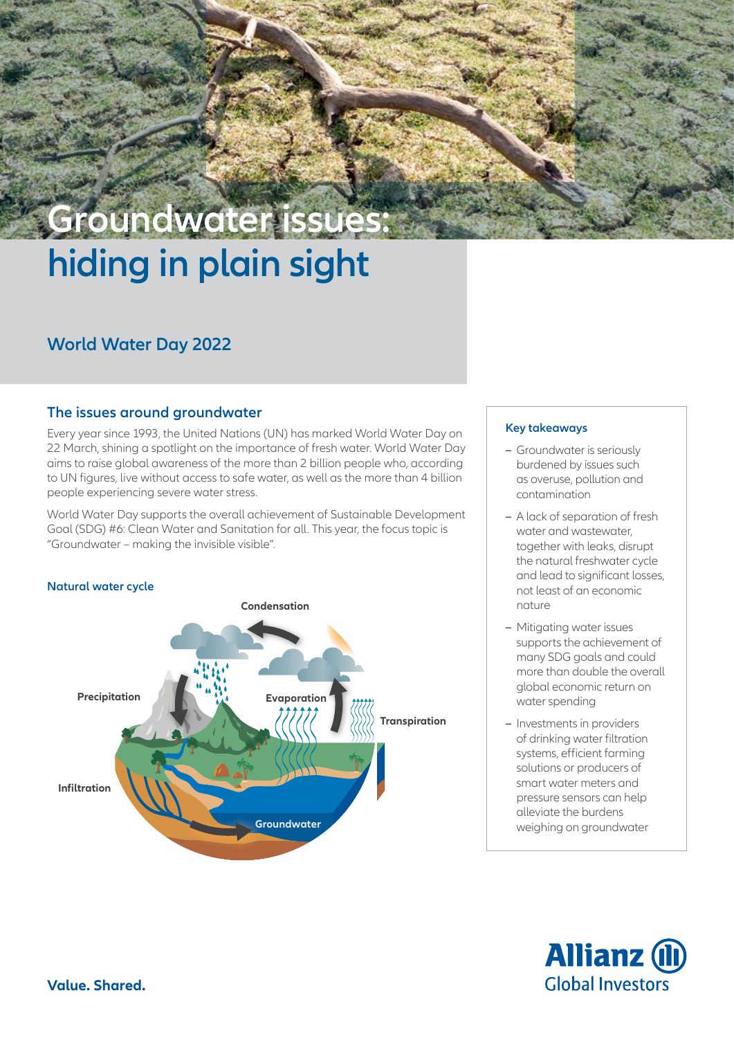# **hiding in plain sight Groundwater issues:**

# **World Water Day 2022**

# **The issues around groundwater**

Every year since 1993, the United Nations (UN) has marked World Water Day on 22 March, shining a spotlight on the importance of fresh water. World Water Day aims to raise global awareness of the more than 2 billion people who, according to UN figures, live without access to safe water, as well as the more than 4 billion people experiencing severe water stress.

World Water Day supports the overall achievement of Sustainable Development Goal (SDG) #6: Clean Water and Sanitation for all. This year, the focus topic is "Groundwater – making the invisible visible".



# **Key takeaways**

- **–** Groundwater is seriously burdened by issues such as overuse, pollution and contamination
- **–** A lack of separation of fresh water and wastewater together with leaks, disrupt the natural freshwater cycle and lead to significant losses not least of an economic nature
- **–** Mitigating water issues supports the achievement of many SDG goals and could more than double the overall global economic return on water spending
- **–** Investments in providers of drinking water filtration systems, efficient farming solutions or producers of smart water meters and pressure sensors can help alleviate the burdens weighing on groundwater

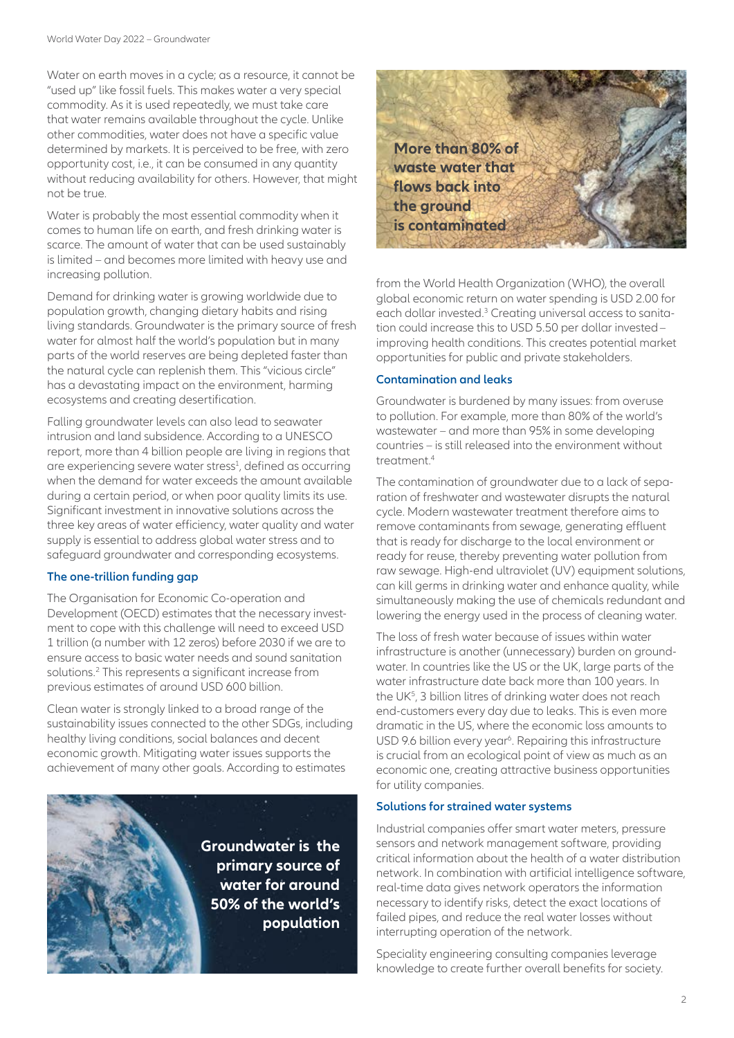Water on earth moves in a cycle; as a resource, it cannot be "used up" like fossil fuels. This makes water a very special commodity. As it is used repeatedly, we must take care that water remains available throughout the cycle. Unlike other commodities, water does not have a specific value determined by markets. It is perceived to be free, with zero opportunity cost, i.e., it can be consumed in any quantity without reducing availability for others. However, that might not be true.

Water is probably the most essential commodity when it comes to human life on earth, and fresh drinking water is scarce. The amount of water that can be used sustainably is limited – and becomes more limited with heavy use and increasing pollution.

Demand for drinking water is growing worldwide due to population growth, changing dietary habits and rising living standards. [Groundwater is the primary source of fresh](https://updates.allianzgi.com/en-gb/investment-ideas/sdg-investing/expert-views)  [water for almost half the world's population](https://updates.allianzgi.com/en-gb/investment-ideas/sdg-investing/expert-views) but in many parts of the world reserves are being depleted faster than the natural cycle can replenish them. This "vicious circle" has a devastating impact on the environment, harming ecosystems and creating desertification.

Falling groundwater levels can also lead to seawater intrusion and land subsidence. According to a UNESCO report, more than 4 billion people are living in regions that are experiencing severe water stress<sup>1</sup>, defined as occurring when the demand for water exceeds the amount available during a certain period, or when poor quality limits its use. Significant investment in innovative solutions across the three key areas of water efficiency, water quality and water supply is essential to address global water stress and to safeguard groundwater and corresponding ecosystems.

# **The one-trillion funding gap**

The Organisation for Economic Co-operation and Development (OECD) estimates that the necessary investment to cope with this challenge will need to exceed USD 1 trillion (a number with 12 zeros) before 2030 if we are to ensure access to basic water needs and sound sanitation solutions.<sup>2</sup> This represents a significant increase from previous estimates of around USD 600 billion.

Clean water is strongly linked to a broad range of the sustainability issues connected to the other SDGs, including healthy living conditions, social balances and decent economic growth. Mitigating water issues supports the achievement of many other goals. According to estimates



**More than 80% of waste water that flows back into the ground is contaminated**

from the World Health Organization (WHO), the overall global economic return on water spending is USD 2.00 for each dollar invested.<sup>3</sup> Creating universal access to sanitation could increase this to USD 5.50 per dollar invested– improving health conditions. This creates potential market opportunities for public and private stakeholders.

## **Contamination and leaks**

Groundwater is burdened by many issues: from overuse to pollution. For example, [more than 80% of the world's](https://updates.allianzgi.com/en-gb/investment-ideas/sdg-investing/expert-views)  [wastewater – and more than 95% in some developing](https://updates.allianzgi.com/en-gb/investment-ideas/sdg-investing/expert-views)  [countries – is still released into the environment without](https://updates.allianzgi.com/en-gb/investment-ideas/sdg-investing/expert-views)  treatment<sup>4</sup>

The contamination of groundwater due to a lack of separation of freshwater and wastewater disrupts the natural cycle. Modern wastewater treatment therefore aims to remove contaminants from sewage, generating effluent that is ready for discharge to the local environment or ready for reuse, thereby preventing water pollution from raw sewage. High-end ultraviolet (UV) equipment solutions, can kill germs in drinking water and enhance quality, while simultaneously making the use of chemicals redundant and lowering the energy used in the process of cleaning water.

The loss of fresh water because of issues within water infrastructure is another (unnecessary) burden on groundwater. In countries like the US or the UK, large parts of the water infrastructure date back more than 100 years. In the UK<sup>5</sup>, 3 billion litres of drinking water does not reach end-customers every day due to leaks. This is even more dramatic in the US, where the economic loss amounts to USD 9.6 billion every year<sup>6</sup>. Repairing this infrastructure is crucial from an ecological point of view as much as an economic one, creating attractive business opportunities for utility companies.

## **Solutions for strained water systems**

Industrial companies offer smart water meters, pressure sensors and network management software, providing critical information about the health of a water distribution network. In combination with artificial intelligence software, real-time data gives network operators the information necessary to identify risks, detect the exact locations of failed pipes, and reduce the real water losses without interrupting operation of the network.

Speciality engineering consulting companies leverage knowledge to create further overall benefits for society.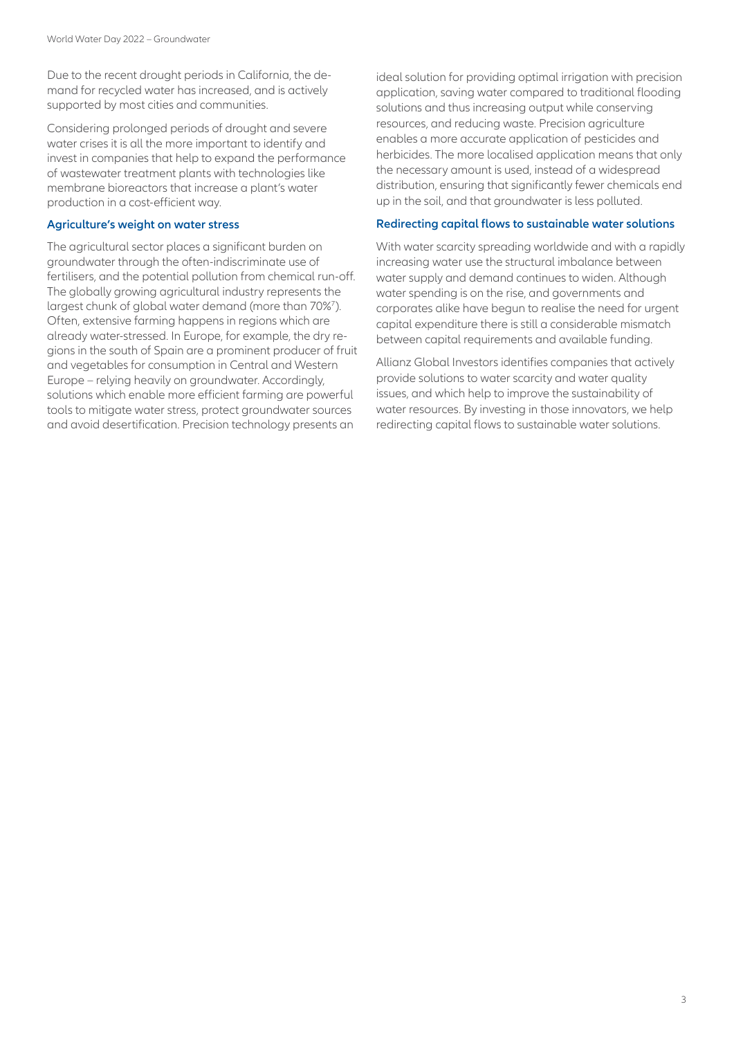Due to the recent drought periods in California, the demand for recycled water has increased, and is actively supported by most cities and communities.

Considering prolonged periods of drought and severe water crises it is all the more important to identify and invest in companies that help to expand the performance of wastewater treatment plants with technologies like membrane bioreactors that increase a plant's water production in a cost-efficient way.

## **Agriculture's weight on water stress**

The agricultural sector places a significant burden on groundwater through the often-indiscriminate use of fertilisers, and the potential pollution from chemical run-off. The globally growing agricultural industry represents the largest chunk of global water demand (more than 70%7). Often, extensive farming happens in regions which are already water-stressed. In Europe, for example, the dry regions in the south of Spain are a prominent producer of fruit and vegetables for consumption in Central and Western Europe – relying heavily on groundwater. Accordingly, solutions which enable more efficient farming are powerful tools to mitigate water stress, protect groundwater sources and avoid desertification. Precision technology presents an

ideal solution for providing optimal irrigation with precision application, saving water compared to traditional flooding solutions and thus increasing output while conserving resources, and reducing waste. Precision agriculture enables a more accurate application of pesticides and herbicides. The more localised application means that only the necessary amount is used, instead of a widespread distribution, ensuring that significantly fewer chemicals end up in the soil, and that groundwater is less polluted.

#### **Redirecting capital flows to sustainable water solutions**

With water scarcity spreading worldwide and with a rapidly increasing water use the structural imbalance between water supply and demand continues to widen. Although water spending is on the rise, and governments and corporates alike have begun to realise the need for urgent capital expenditure there is still a considerable mismatch between capital requirements and available funding.

Allianz Global Investors identifies companies that actively provide solutions to water scarcity and water quality issues, and which help to improve the sustainability of water resources. By investing in those innovators, we help redirecting capital flows to sustainable water solutions.